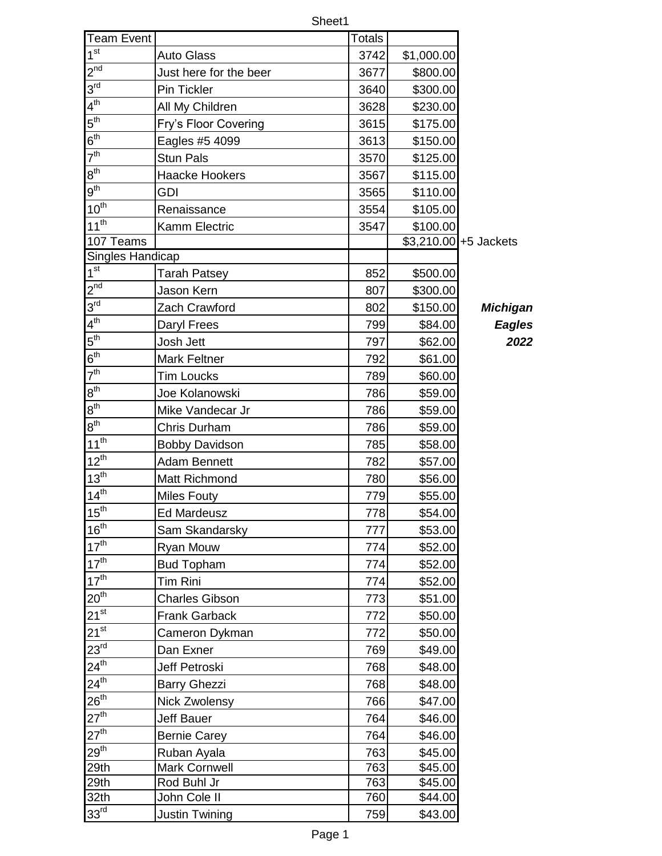|                             |                        | Sheet1 |            |                        |
|-----------------------------|------------------------|--------|------------|------------------------|
| <b>Team Event</b>           |                        | Totals |            |                        |
| 1 <sup>st</sup>             | <b>Auto Glass</b>      | 3742   | \$1,000.00 |                        |
| $2^{nd}$                    | Just here for the beer | 3677   | \$800.00   |                        |
| $3^{\text{rd}}$             | Pin Tickler            | 3640   | \$300.00   |                        |
| $4^{th}$                    | All My Children        | 3628   | \$230.00   |                        |
| $5^{\text{th}}$             | Fry's Floor Covering   | 3615   | \$175.00   |                        |
| $6^{\text{th}}$             | Eagles #5 4099         | 3613   | \$150.00   |                        |
| 7 <sup>th</sup>             | <b>Stun Pals</b>       | 3570   | \$125.00   |                        |
| 8 <sup>th</sup>             | <b>Haacke Hookers</b>  | 3567   | \$115.00   |                        |
| $9^{\text{th}}$             | <b>GDI</b>             | 3565   | \$110.00   |                        |
| $10^{th}$                   | Renaissance            | 3554   | \$105.00   |                        |
| $11^{th}$                   | Kamm Electric          | 3547   | \$100.00   |                        |
| 107 Teams                   |                        |        |            | $$3,210.00$ +5 Jackets |
| Singles Handicap            |                        |        |            |                        |
| 1 <sup>st</sup>             | Tarah Patsey           | 852    | \$500.00   |                        |
| $2^{nd}$                    | Jason Kern             | 807    | \$300.00   |                        |
| 3 <sup>rd</sup>             | Zach Crawford          | 802    | \$150.00   | <b>Michigan</b>        |
| 4 <sup>th</sup>             | Daryl Frees            | 799    | \$84.00    | <b>Eagles</b>          |
| $5^{\text{th}}$             | Josh Jett              | 797    | \$62.00    | 2022                   |
| $6^{\text{th}}$             | <b>Mark Feltner</b>    | 792    | \$61.00    |                        |
| 7 <sup>th</sup>             | <b>Tim Loucks</b>      | 789    | \$60.00    |                        |
| $8^{\text{th}}$             | Joe Kolanowski         | 786    | \$59.00    |                        |
| $8^{\sf th}$                | Mike Vandecar Jr       | 786    | \$59.00    |                        |
| 8 <sup>th</sup>             | Chris Durham           | 786    | \$59.00    |                        |
| $11^{th}$                   | <b>Bobby Davidson</b>  | 785    | \$58.00    |                        |
| $12^{th}$                   | <b>Adam Bennett</b>    | 782    | \$57.00    |                        |
| $13^{th}$                   | <b>Matt Richmond</b>   | 780    | \$56.00    |                        |
| $14^{th}$                   | <b>Miles Fouty</b>     | 779    | \$55.00    |                        |
| 15 <sup>th</sup>            | <b>Ed Mardeusz</b>     | 778    | \$54.00    |                        |
| 16 <sup>th</sup>            | Sam Skandarsky         | 777    | \$53.00    |                        |
| 17 <sup>th</sup>            | Ryan Mouw              | 774    | \$52.00    |                        |
| 17 <sup>th</sup>            | <b>Bud Topham</b>      | 774    | \$52.00    |                        |
| 17 <sup>th</sup>            | Tim Rini               | 774    | \$52.00    |                        |
| 20 <sup>th</sup>            | <b>Charles Gibson</b>  | 773    | \$51.00    |                        |
| $21^{st}$                   | <b>Frank Garback</b>   | 772    | \$50.00    |                        |
| $21^{st}$                   | Cameron Dykman         | 772    | \$50.00    |                        |
| 23 <sup>rd</sup>            | Dan Exner              | 769    | \$49.00    |                        |
| $24^{\overline{\text{th}}}$ | Jeff Petroski          | 768    | \$48.00    |                        |
| $24^{\text{th}}$            | <b>Barry Ghezzi</b>    | 768    | \$48.00    |                        |
| $26^{th}$                   | <b>Nick Zwolensy</b>   | 766    | \$47.00    |                        |
| 27 <sup>th</sup>            | <b>Jeff Bauer</b>      | 764    | \$46.00    |                        |
| $27^{th}$                   | <b>Bernie Carey</b>    | 764    | \$46.00    |                        |
| 29 <sup>th</sup>            | Ruban Ayala            | 763    | \$45.00    |                        |
| 29th                        | <b>Mark Cornwell</b>   | 763    | \$45.00    |                        |
| 29th                        | Rod Buhl Jr            | 763    | \$45.00    |                        |
| 32th                        | John Cole II           | 760    | \$44.00    |                        |
| 33 <sup>rd</sup>            | Justin Twining         | 759    | \$43.00    |                        |

Page 1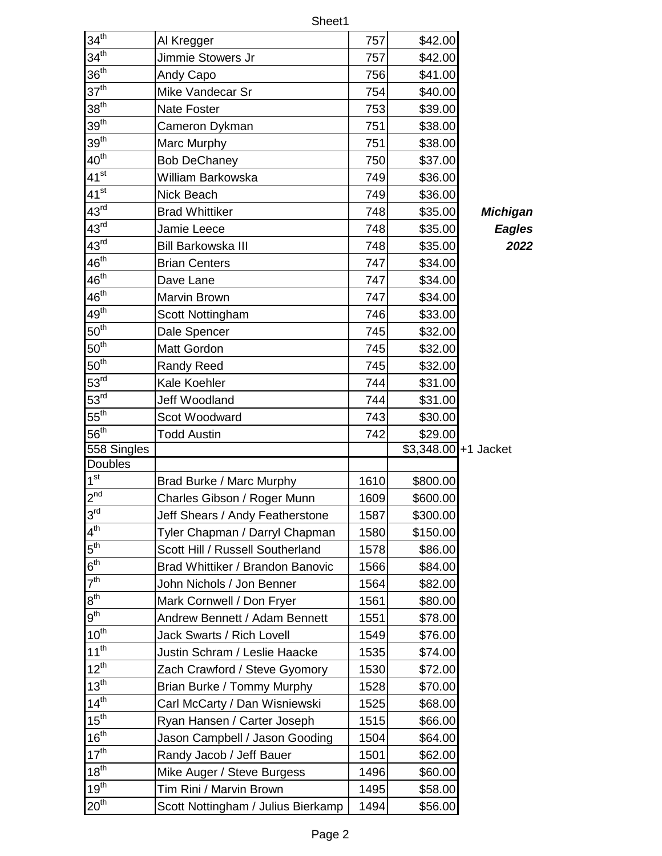|                             | Sheet1                             |      |                       |                 |  |
|-----------------------------|------------------------------------|------|-----------------------|-----------------|--|
| 34 <sup>th</sup>            | Al Kregger                         | 757  | \$42.00               |                 |  |
| $34^{th}$                   | Jimmie Stowers Jr                  | 757  | \$42.00               |                 |  |
| 36 <sup>th</sup>            | Andy Capo                          | 756  | \$41.00               |                 |  |
| 37 <sup>th</sup>            | Mike Vandecar Sr                   | 754  | \$40.00               |                 |  |
| $38^{th}$                   | <b>Nate Foster</b>                 | 753  | \$39.00               |                 |  |
| 39 <sup>th</sup>            | Cameron Dykman                     | 751  | \$38.00               |                 |  |
| 39 <sup>th</sup>            | Marc Murphy                        | 751  | \$38.00               |                 |  |
| $40^{th}$                   | <b>Bob DeChaney</b>                | 750  | \$37.00               |                 |  |
| $41^{st}$                   | William Barkowska                  | 749  | \$36.00               |                 |  |
| $41^{st}$                   | Nick Beach                         | 749  | \$36.00               |                 |  |
| $43^{rd}$                   | <b>Brad Whittiker</b>              | 748  | \$35.00               | <b>Michigan</b> |  |
| 43 <sup>rd</sup>            | Jamie Leece                        | 748  | \$35.00               | <b>Eagles</b>   |  |
| $43^{\text{rd}}$            | Bill Barkowska III                 | 748  | \$35.00               | 2022            |  |
| $46^{\text{th}}$            | <b>Brian Centers</b>               | 747  | \$34.00               |                 |  |
| $46^{\text{th}}$            | Dave Lane                          | 747  | \$34.00               |                 |  |
| $46^{\text{th}}$            | Marvin Brown                       | 747  | \$34.00               |                 |  |
| $49^{\overline{\text{th}}}$ | Scott Nottingham                   | 746  | \$33.00               |                 |  |
| $50^{th}$                   | Dale Spencer                       | 745  | \$32.00               |                 |  |
| $50^{th}$                   | Matt Gordon                        | 745  | \$32.00               |                 |  |
| 50 <sup>th</sup>            | <b>Randy Reed</b>                  | 745  | \$32.00               |                 |  |
| $\overline{53}^{rd}$        | Kale Koehler                       | 744  | \$31.00               |                 |  |
| $53^{\text{rd}}$            | Jeff Woodland                      | 744  | \$31.00               |                 |  |
| $55^{\overline{\text{th}}}$ | Scot Woodward                      | 743  | \$30.00               |                 |  |
| 56 <sup>th</sup>            | <b>Todd Austin</b>                 | 742  | \$29.00               |                 |  |
| 558 Singles                 |                                    |      | $$3,348.00$ +1 Jacket |                 |  |
| <b>Doubles</b>              |                                    |      |                       |                 |  |
| 1 <sup>st</sup>             | Brad Burke / Marc Murphy           | 1610 | \$800.00              |                 |  |
| $2^{nd}$                    | Charles Gibson / Roger Munn        | 1609 | \$600.00              |                 |  |
| $3^{\text{rd}}$             | Jeff Shears / Andy Featherstone    | 1587 | \$300.00              |                 |  |
| $4^{th}$                    | Tyler Chapman / Darryl Chapman     | 1580 | \$150.00              |                 |  |
| $5^{\text{th}}$             | Scott Hill / Russell Southerland   | 1578 | \$86.00               |                 |  |
| $6^{th}$                    | Brad Whittiker / Brandon Banovic   | 1566 | \$84.00               |                 |  |
| 7 <sup>th</sup>             | John Nichols / Jon Benner          | 1564 | \$82.00               |                 |  |
| $8^{\text{th}}$             | Mark Cornwell / Don Fryer          | 1561 | \$80.00               |                 |  |
| $9^{\text{th}}$             | Andrew Bennett / Adam Bennett      | 1551 | \$78.00               |                 |  |
| $10^{th}$                   | <b>Jack Swarts / Rich Lovell</b>   | 1549 | \$76.00               |                 |  |
| $11^{th}$                   | Justin Schram / Leslie Haacke      | 1535 | \$74.00               |                 |  |
| $12^{th}$                   | Zach Crawford / Steve Gyomory      | 1530 | \$72.00               |                 |  |
| $13^{th}$                   | Brian Burke / Tommy Murphy         | 1528 | \$70.00               |                 |  |
| $14^{th}$                   | Carl McCarty / Dan Wisniewski      | 1525 | \$68.00               |                 |  |
| 15 <sup>th</sup>            | Ryan Hansen / Carter Joseph        | 1515 | \$66.00               |                 |  |
| 16 <sup>th</sup>            | Jason Campbell / Jason Gooding     | 1504 | \$64.00               |                 |  |
| 17 <sup>th</sup>            | Randy Jacob / Jeff Bauer           | 1501 | \$62.00               |                 |  |
| $18^{th}$                   | Mike Auger / Steve Burgess         | 1496 | \$60.00               |                 |  |
| $19^{th}$                   | Tim Rini / Marvin Brown            | 1495 | \$58.00               |                 |  |
| 20 <sup>th</sup>            | Scott Nottingham / Julius Bierkamp | 1494 | \$56.00               |                 |  |

rd Brad Whittiker 748 \$35.00 *Michigan*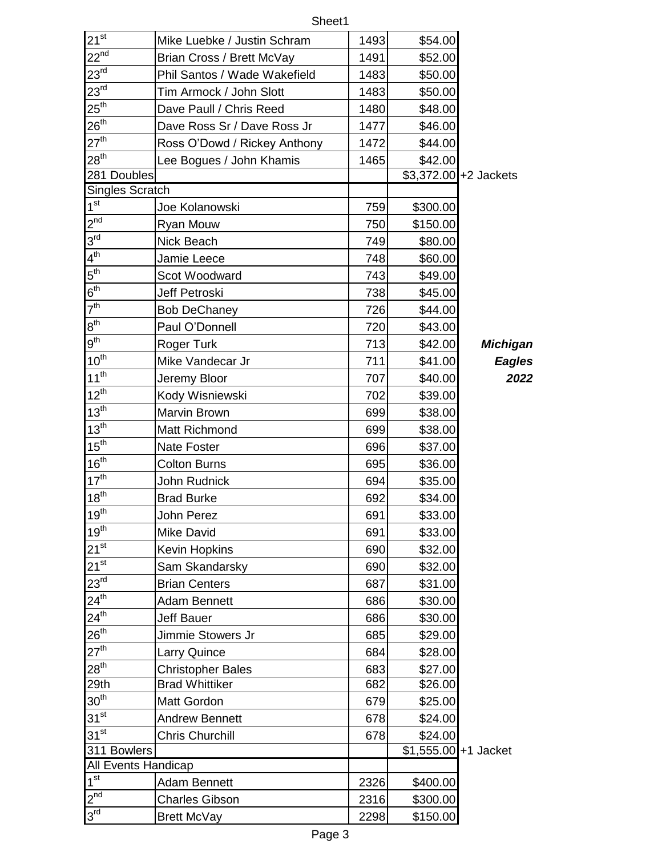| $21^{st}$                   | Mike Luebke / Justin Schram  | 1493 | \$54.00               |                        |
|-----------------------------|------------------------------|------|-----------------------|------------------------|
| $22^{nd}$                   | Brian Cross / Brett McVay    | 1491 | \$52.00               |                        |
| $23^{\text{rd}}$            | Phil Santos / Wade Wakefield | 1483 | \$50.00               |                        |
| 23 <sup>rd</sup>            | Tim Armock / John Slott      | 1483 | \$50.00               |                        |
| $25^{\text{th}}$            | Dave Paull / Chris Reed      | 1480 | \$48.00               |                        |
| $26^{th}$                   | Dave Ross Sr / Dave Ross Jr  | 1477 | \$46.00               |                        |
| 27 <sup>th</sup>            | Ross O'Dowd / Rickey Anthony | 1472 | \$44.00               |                        |
| 28 <sup>th</sup>            | Lee Bogues / John Khamis     | 1465 | \$42.00               |                        |
| 281 Doubles                 |                              |      |                       | $$3,372.00$ +2 Jackets |
| <b>Singles Scratch</b>      |                              |      |                       |                        |
| $1^{\overline{st}}$         | Joe Kolanowski               | 759  | \$300.00              |                        |
| $2^{nd}$                    | Ryan Mouw                    | 750  | \$150.00              |                        |
| $3^{\text{rd}}$             | Nick Beach                   | 749  | \$80.00               |                        |
| $4^{\text{th}}$             | Jamie Leece                  | 748  | \$60.00               |                        |
| $5^{\text{th}}$             | Scot Woodward                | 743  | \$49.00               |                        |
| $6^{\sf th}$                | Jeff Petroski                | 738  | \$45.00               |                        |
| 7 <sup>th</sup>             | <b>Bob DeChaney</b>          | 726  | \$44.00               |                        |
| 8 <sup>th</sup>             | Paul O'Donnell               | 720  | \$43.00               |                        |
| $9^{\text{th}}$             | <b>Roger Turk</b>            | 713  | \$42.00               | <b>Michigan</b>        |
| $10^{th}$                   | Mike Vandecar Jr             | 711  | \$41.00               | Eagles                 |
| $11^{th}$                   | Jeremy Bloor                 | 707  | \$40.00               | 2022                   |
| $12^{th}$                   | Kody Wisniewski              | 702  | \$39.00               |                        |
| 13 <sup>th</sup>            | Marvin Brown                 | 699  | \$38.00               |                        |
| 13 <sup>th</sup>            | Matt Richmond                | 699  | \$38.00               |                        |
| 15 <sup>th</sup>            | <b>Nate Foster</b>           | 696  | \$37.00               |                        |
| 16 <sup>th</sup>            | <b>Colton Burns</b>          | 695  | \$36.00               |                        |
| $17^{th}$                   | John Rudnick                 | 694  | \$35.00               |                        |
| $18^{th}$                   | <b>Brad Burke</b>            | 692  | \$34.00               |                        |
| $19^{th}$                   | John Perez                   | 691  | \$33.00               |                        |
| 19 <sup>th</sup>            | <b>Mike David</b>            | 691  | \$33.00               |                        |
| $21^{st}$                   | <b>Kevin Hopkins</b>         | 690  | \$32.00               |                        |
| $21^{st}$                   | Sam Skandarsky               | 690  | \$32.00               |                        |
| $23^{rd}$                   | <b>Brian Centers</b>         | 687  | \$31.00               |                        |
| $24^{\text{th}}$            | <b>Adam Bennett</b>          | 686  | \$30.00               |                        |
| $24^{\text{th}}$            | <b>Jeff Bauer</b>            | 686  | \$30.00               |                        |
| $\overline{26}^{\text{th}}$ | Jimmie Stowers Jr            | 685  | \$29.00               |                        |
| 27 <sup>th</sup>            | <b>Larry Quince</b>          | 684  | \$28.00               |                        |
| 28 <sup>th</sup>            | <b>Christopher Bales</b>     | 683  | \$27.00               |                        |
| 29th                        | <b>Brad Whittiker</b>        | 682  | \$26.00               |                        |
| 30 <sup>th</sup>            | Matt Gordon                  | 679  | \$25.00               |                        |
| $31^{st}$                   | <b>Andrew Bennett</b>        | 678  | \$24.00               |                        |
| $31^{st}$                   | <b>Chris Churchill</b>       | 678  | \$24.00               |                        |
| 311 Bowlers                 |                              |      | $$1,555.00$ +1 Jacket |                        |
| All Events Handicap         |                              |      |                       |                        |
| 1 <sup>st</sup>             | <b>Adam Bennett</b>          | 2326 | \$400.00              |                        |
| $2^{nd}$                    | <b>Charles Gibson</b>        | 2316 | \$300.00              |                        |
| 3 <sup>rd</sup>             | <b>Brett McVay</b>           | 2298 | \$150.00              |                        |

Sheet1